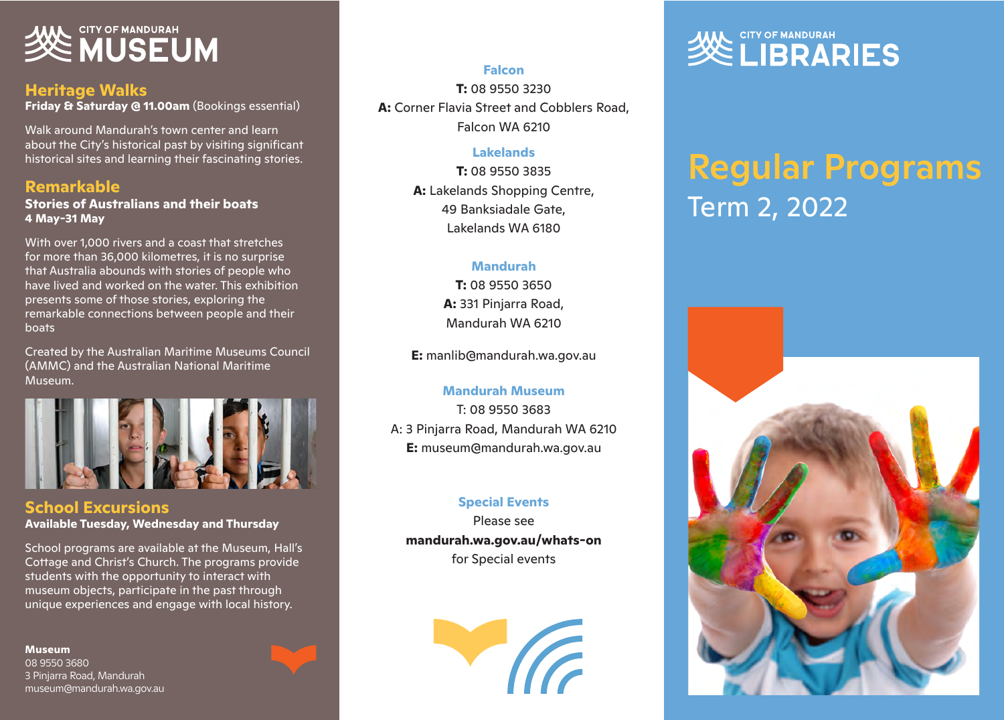# **SEE MUSEUM**

#### **Heritage Walks**

**Friday & Saturday @ 11.00am** (Bookings essential)

Walk around Mandurah's town center and learn about the City's historical past by visiting significant historical sites and learning their fascinating stories.

#### **Remarkable**

**Stories of Australians and their boats 4 May-31 May**

With over 1,000 rivers and a coast that stretches for more than 36,000 kilometres, it is no surprise that Australia abounds with stories of people who have lived and worked on the water. This exhibition presents some of those stories, exploring the remarkable connections between people and their boats

Created by the Australian Maritime Museums Council (AMMC) and the Australian National Maritime Museum.



**School Excursions Available Tuesday, Wednesday and Thursday**

School programs are available at the Museum, Hall's Cottage and Christ's Church. The programs provide students with the opportunity to interact with museum objects, participate in the past through unique experiences and engage with local history.

**Museum** 08 9550 3680 3 Pinjarra Road, Mandurah museum@mandurah.wa.gov.au

#### **Falcon**

**T:** 08 9550 3230 **A:** Corner Flavia Street and Cobblers Road, Falcon WA 6210

#### **Lakelands**

**T:** 08 9550 3835 **A:** Lakelands Shopping Centre, 49 Banksiadale Gate, Lakelands WA 6180

#### **Mandurah**

**T:** 08 9550 3650 **A:** 331 Pinjarra Road, Mandurah WA 6210

**E:** manlib@mandurah.wa.gov.au

#### **Mandurah Museum**

T: 08 9550 3683 A: 3 Pinjarra Road, Mandurah WA 6210 **E:** museum@mandurah.wa.gov.au

#### **Special Events**

Please see **mandurah.wa.gov.au/whats-on** for Special events



# Regular Programs Term 2, 2022